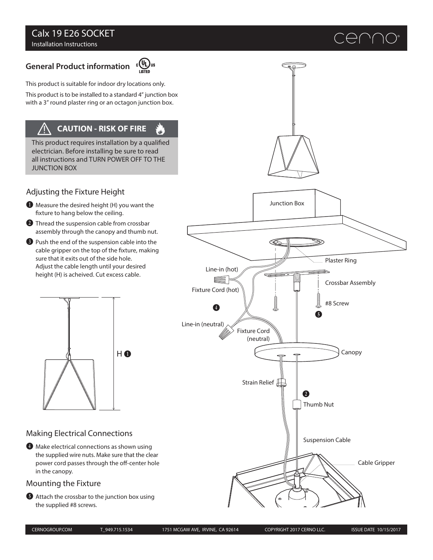## Calx 19 E26 SOCKET Installation Instructions

# **General Product information**



ر<br>رس

This product is suitable for indoor dry locations only.

This product is to be installed to a standard 4" junction box with a 3" round plaster ring or an octagon junction box.

## **CAUTION - RISK OF FIRE**

This product requires installation by a qualified electrician. Before installing be sure to read all instructions and TURN POWER OFF TO THE JUNCTION BOX

## Adjusting the Fixture Height

- $\bullet$  Measure the desired height (H) you want the xture to hang below the ceiling.
- **2** Thread the suspension cable from crossbar assembly through the canopy and thumb nut.
- D Push the end of the suspension cable into the cable gripper on the top of the fixture, making sure that it exits out of the side hole. Adjust the cable length until your desired height (H) is acheived. Cut excess cable.



## Making Electrical Connections

E Make electrical connections as shown using the supplied wire nuts. Make sure that the clear power cord passes through the off-center hole in the canopy.

### Mounting the Fixture

**•** Attach the crossbar to the junction box using the supplied #8 screws.